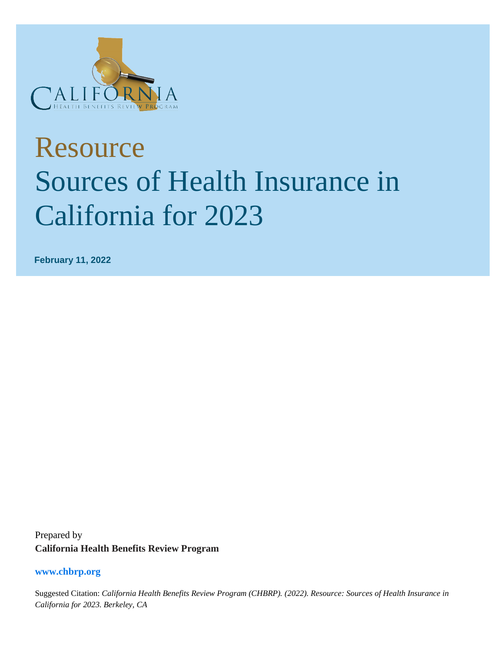

# Resource Sources of Health Insurance in California for 2023

**February 11, 2022**

Prepared by **California Health Benefits Review Program** 

#### **www.chbrp.org**

Suggested Citation: *California Health Benefits Review Program (CHBRP). (2022). Resource: Sources of Health Insurance in California for 2023. Berkeley, CA*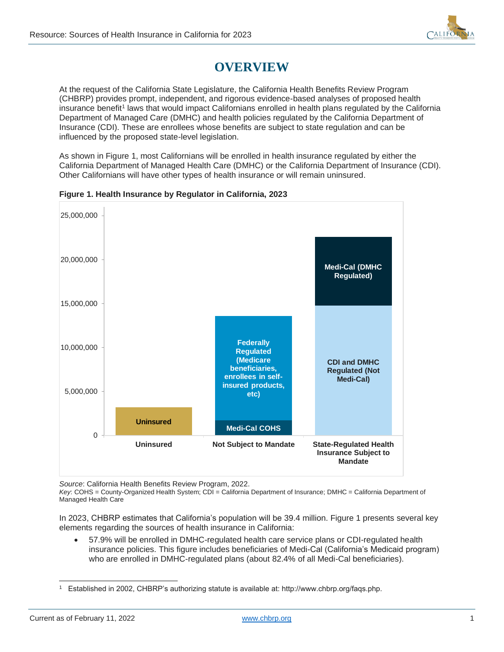

## **OVERVIEW**

At the request of the California State Legislature, the California Health Benefits Review Program (CHBRP) provides prompt, independent, and rigorous evidence-based analyses of proposed health insurance benefit<sup>1</sup> laws that would impact Californians enrolled in health plans regulated by the California Department of Managed Care (DMHC) and health policies regulated by the California Department of Insurance (CDI). These are enrollees whose benefits are subject to state regulation and can be influenced by the proposed state-level legislation.

As shown in Figure 1, most Californians will be enrolled in health insurance regulated by either the California Department of Managed Health Care (DMHC) or the California Department of Insurance (CDI). Other Californians will have other types of health insurance or will remain uninsured.



#### **Figure 1. Health Insurance by Regulator in California, 2023**

*Source*: California Health Benefits Review Program, 2022.

*Key*: COHS = County-Organized Health System; CDI = California Department of Insurance; DMHC = California Department of Managed Health Care

In 2023, CHBRP estimates that California's population will be 39.4 million. Figure 1 presents several key elements regarding the sources of health insurance in California:

• 57.9% will be enrolled in DMHC-regulated health care service plans or CDI-regulated health insurance policies. This figure includes beneficiaries of Medi-Cal (California's Medicaid program) who are enrolled in DMHC-regulated plans (about 82.4% of all Medi-Cal beneficiaries).

<sup>1</sup> Established in 2002, CHBRP's authorizing statute is available at: http://www.chbrp.org/faqs.php.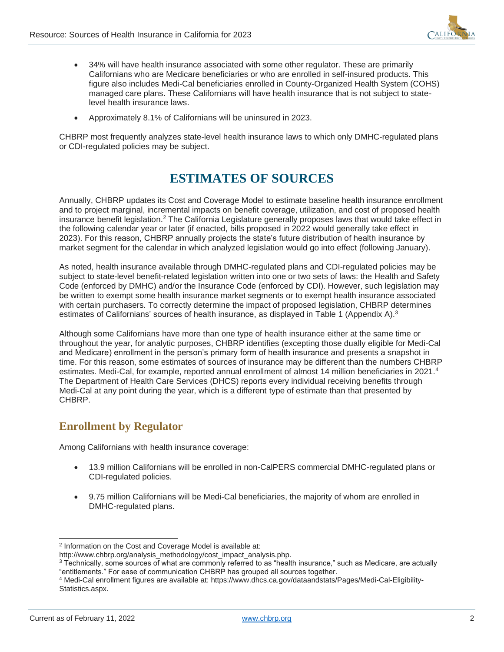

- 34% will have health insurance associated with some other regulator. These are primarily Californians who are Medicare beneficiaries or who are enrolled in self-insured products. This figure also includes Medi-Cal beneficiaries enrolled in County-Organized Health System (COHS) managed care plans. These Californians will have health insurance that is not subject to statelevel health insurance laws.
- Approximately 8.1% of Californians will be uninsured in 2023.

CHBRP most frequently analyzes state-level health insurance laws to which only DMHC-regulated plans or CDI-regulated policies may be subject.

## **ESTIMATES OF SOURCES**

Annually, CHBRP updates its Cost and Coverage Model to estimate baseline health insurance enrollment and to project marginal, incremental impacts on benefit coverage, utilization, and cost of proposed health insurance benefit legislation.<sup>2</sup> The California Legislature generally proposes laws that would take effect in the following calendar year or later (if enacted, bills proposed in 2022 would generally take effect in 2023). For this reason, CHBRP annually projects the state's future distribution of health insurance by market segment for the calendar in which analyzed legislation would go into effect (following January).

As noted, health insurance available through DMHC-regulated plans and CDI-regulated policies may be subject to state-level benefit-related legislation written into one or two sets of laws: the Health and Safety Code (enforced by DMHC) and/or the Insurance Code (enforced by CDI). However, such legislation may be written to exempt some health insurance market segments or to exempt health insurance associated with certain purchasers. To correctly determine the impact of proposed legislation, CHBRP determines estimates of Californians' sources of health insurance, as displayed in Table 1 (Appendix A).<sup>3</sup>

Although some Californians have more than one type of health insurance either at the same time or throughout the year, for analytic purposes, CHBRP identifies (excepting those dually eligible for Medi-Cal and Medicare) enrollment in the person's primary form of health insurance and presents a snapshot in time. For this reason, some estimates of sources of insurance may be different than the numbers CHBRP estimates. Medi-Cal, for example, reported annual enrollment of almost 14 million beneficiaries in 2021.<sup>4</sup> The Department of Health Care Services (DHCS) reports every individual receiving benefits through Medi-Cal at any point during the year, which is a different type of estimate than that presented by CHBRP.

### **Enrollment by Regulator**

Among Californians with health insurance coverage:

- 13.9 million Californians will be enrolled in non-CalPERS commercial DMHC-regulated plans or CDI-regulated policies.
- 9.75 million Californians will be Medi-Cal beneficiaries, the majority of whom are enrolled in DMHC-regulated plans.

<sup>&</sup>lt;sup>2</sup> Information on the Cost and Coverage Model is available at:

[http://www.chbrp.org/analysis\\_methodology/cost\\_impact\\_analysis.php.](http://www.chbrp.org/analysis_methodology/cost_impact_analysis.php)

<sup>3</sup> Technically, some sources of what are commonly referred to as "health insurance," such as Medicare, are actually "entitlements." For ease of communication CHBRP has grouped all sources together.

<sup>4</sup> Medi-Cal enrollment figures are available at: https://www.dhcs.ca.gov/dataandstats/Pages/Medi-Cal-Eligibility-Statistics.aspx.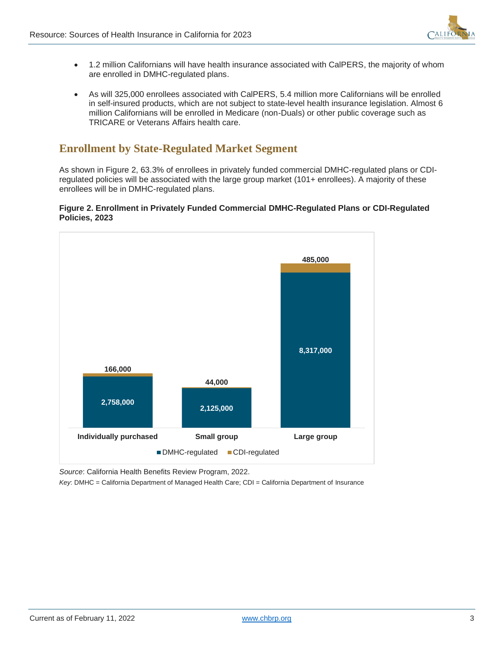

- 1.2 million Californians will have health insurance associated with CalPERS, the majority of whom are enrolled in DMHC-regulated plans.
- As will 325,000 enrollees associated with CalPERS, 5.4 million more Californians will be enrolled in self-insured products, which are not subject to state-level health insurance legislation. Almost 6 million Californians will be enrolled in Medicare (non-Duals) or other public coverage such as TRICARE or Veterans Affairs health care.

## **Enrollment by State-Regulated Market Segment**

As shown in Figure 2, 63.3% of enrollees in privately funded commercial DMHC-regulated plans or CDIregulated policies will be associated with the large group market (101+ enrollees). A majority of these enrollees will be in DMHC-regulated plans.

#### **Figure 2. Enrollment in Privately Funded Commercial DMHC-Regulated Plans or CDI-Regulated Policies, 2023**



*Source*: California Health Benefits Review Program, 2022.

*Key*: DMHC = California Department of Managed Health Care; CDI = California Department of Insurance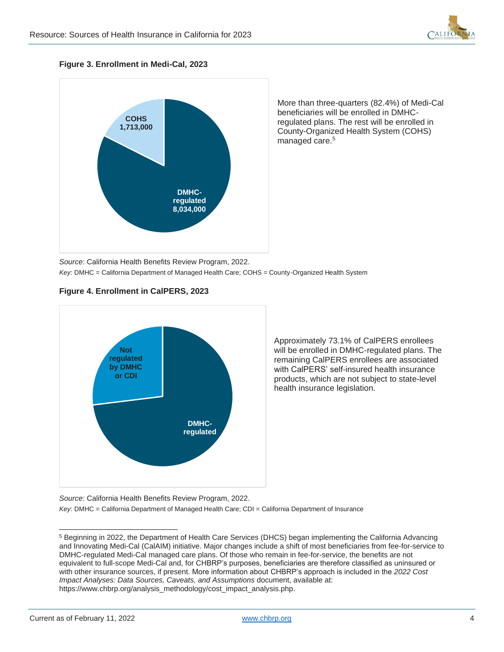

**Figure 3. Enrollment in Medi-Cal, 2023**



More than three-quarters (82.4%) of Medi-Cal beneficiaries will be enrolled in DMHCregulated plans. The rest will be enrolled in County-Organized Health System (COHS) managed care.<sup>5</sup>

*Source*: California Health Benefits Review Program, 2022. *Key*: DMHC = California Department of Managed Health Care; COHS = County-Organized Health System





Approximately 73.1% of CalPERS enrollees will be enrolled in DMHC-regulated plans. The remaining CalPERS enrollees are associated with CalPERS' self-insured health insurance products, which are not subject to state-level health insurance legislation.

*Source*: California Health Benefits Review Program, 2022. *Key*: DMHC = California Department of Managed Health Care; CDI = California Department of Insurance

<sup>5</sup> Beginning in 2022, the Department of Health Care Services (DHCS) began implementing the California Advancing and Innovating Medi-Cal (CalAIM) initiative. Major changes include a shift of most beneficiaries from fee-for-service to DMHC-regulated Medi-Cal managed care plans. Of those who remain in fee-for-service, the benefits are not equivalent to full-scope Medi-Cal and, for CHBRP's purposes, beneficiaries are therefore classified as uninsured or with other insurance sources, if present. More information about CHBRP's approach is included in the *2022 Cost Impact Analyses: Data Sources, Caveats, and Assumptions* document, available at: https://www.chbrp.org/analysis\_methodology/cost\_impact\_analysis.php.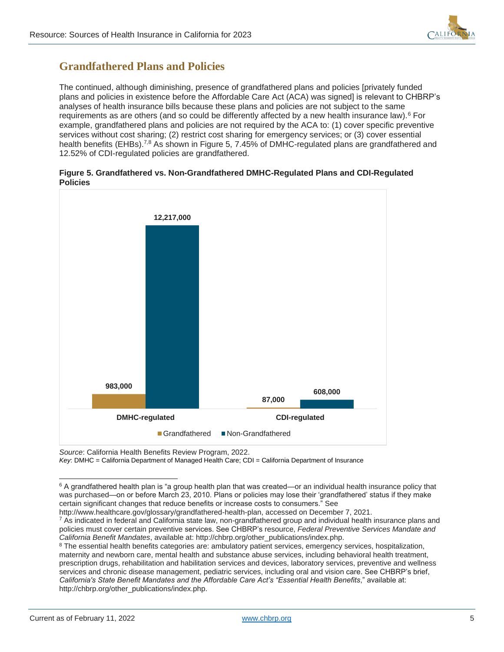

## **Grandfathered Plans and Policies**

The continued, although diminishing, presence of grandfathered plans and policies [privately funded plans and policies in existence before the Affordable Care Act (ACA) was signed] is relevant to CHBRP's analyses of health insurance bills because these plans and policies are not subject to the same requirements as are others (and so could be differently affected by a new health insurance law).<sup>6</sup> For example, grandfathered plans and policies are not required by the ACA to: (1) cover specific preventive services without cost sharing; (2) restrict cost sharing for emergency services; or (3) cover essential health benefits (EHBs).<sup>7,8</sup> As shown in Figure 5, 7.45% of DMHC-regulated plans are grandfathered and 12.52% of CDI-regulated policies are grandfathered.

|                 | Figure 5. Grandfathered vs. Non-Grandfathered DMHC-Regulated Plans and CDI-Regulated |  |  |
|-----------------|--------------------------------------------------------------------------------------|--|--|
| <b>Policies</b> |                                                                                      |  |  |



*Source*: California Health Benefits Review Program, 2022.

*Key*: DMHC = California Department of Managed Health Care; CDI = California Department of Insurance

[http://www.healthcare.gov/glossary/grandfathered-health-plan,](http://www.healthcare.gov/glossary/grandfathered-health-plan) accessed on December 7, 2021.

 $6$  A grandfathered health plan is "a group health plan that was created—or an individual health insurance policy that was purchased—on or before March 23, 2010. Plans or policies may lose their 'grandfathered' status if they make certain significant changes that reduce benefits or increase costs to consumers." See

<sup>&</sup>lt;sup>7</sup> As indicated in federal and California state law, non-grandfathered group and individual health insurance plans and policies must cover certain preventive services. See CHBRP's resource, *Federal Preventive Services Mandate and California Benefit Mandates*, available at: [http://chbrp.org/other\\_publications/index.php.](http://chbrp.org/other_publications/index.php)

<sup>&</sup>lt;sup>8</sup> The essential health benefits categories are: ambulatory patient services, emergency services, hospitalization, maternity and newborn care, mental health and substance abuse services, including behavioral health treatment, prescription drugs, rehabilitation and habilitation services and devices, laboratory services, preventive and wellness services and chronic disease management, pediatric services, including oral and vision care. See CHBRP's brief, *California's State Benefit Mandates and the Affordable Care Act's "Essential Health Benefits*," available at: [http://chbrp.org/other\\_publications/index.php.](http://chbrp.org/other_publications/index.php)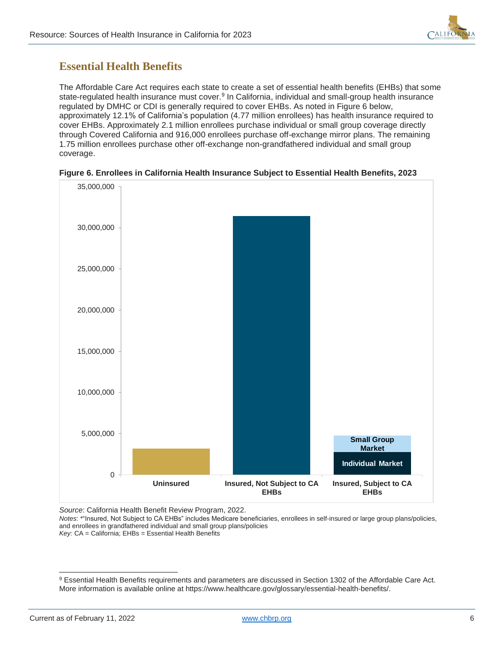

## **Essential Health Benefits**

The Affordable Care Act requires each state to create a set of essential health benefits (EHBs) that some state-regulated health insurance must cover.<sup>9</sup> In California, individual and small-group health insurance regulated by DMHC or CDI is generally required to cover EHBs. As noted in Figure 6 below, approximately 12.1% of California's population (4.77 million enrollees) has health insurance required to cover EHBs. Approximately 2.1 million enrollees purchase individual or small group coverage directly through Covered California and 916,000 enrollees purchase off-exchange mirror plans. The remaining 1.75 million enrollees purchase other off-exchange non-grandfathered individual and small group coverage.



#### **Figure 6. Enrollees in California Health Insurance Subject to Essential Health Benefits, 2023**

*Source*: California Health Benefit Review Program, 2022.

*Notes*: \*"Insured, Not Subject to CA EHBs" includes Medicare beneficiaries, enrollees in self-insured or large group plans/policies, and enrollees in grandfathered individual and small group plans/policies *Key:* CA = California; EHBs = Essential Health Benefits

<sup>9</sup> Essential Health Benefits requirements and parameters are discussed in Section 1302 of the Affordable Care Act. More information is available online at https://www.healthcare.gov/glossary/essential-health-benefits/.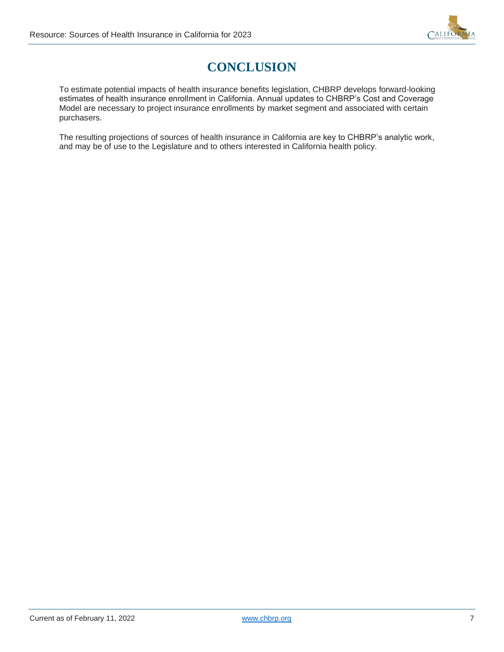

## **CONCLUSION**

To estimate potential impacts of health insurance benefits legislation, CHBRP develops forward-looking estimates of health insurance enrollment in California. Annual updates to CHBRP's Cost and Coverage Model are necessary to project insurance enrollments by market segment and associated with certain purchasers.

The resulting projections of sources of health insurance in California are key to CHBRP's analytic work, and may be of use to the Legislature and to others interested in California health policy.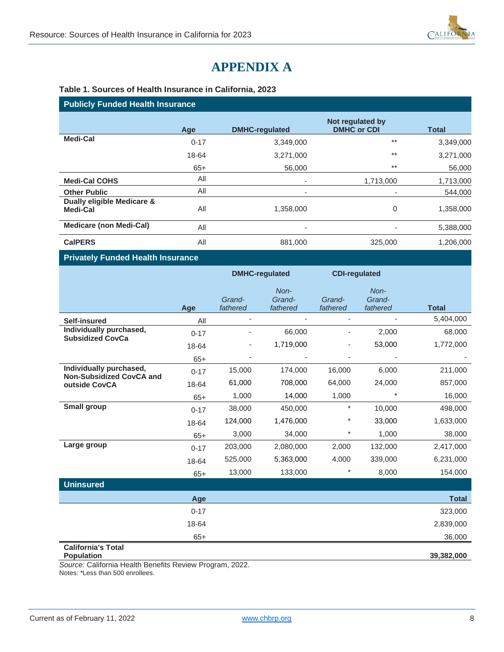

## **APPENDIX A**

#### **Table 1. Sources of Health Insurance in California, 2023**

#### **Publicly Funded Health Insurance**

|                                        | Age      | <b>DMHC-regulated</b>    | Not regulated by<br><b>DMHC or CDI</b> | <b>Total</b> |
|----------------------------------------|----------|--------------------------|----------------------------------------|--------------|
| Medi-Cal                               | $0 - 17$ | 3,349,000                | $***$                                  | 3,349,000    |
|                                        | 18-64    | 3,271,000                | $***$                                  | 3,271,000    |
|                                        | $65+$    | 56,000                   | $***$                                  | 56,000       |
| <b>Medi-Cal COHS</b>                   | All      | ٠                        | 1,713,000                              | 1,713,000    |
| <b>Other Public</b>                    | All      | ٠                        |                                        | 544,000      |
| Dually eligible Medicare &<br>Medi-Cal | All      | 1,358,000                | 0                                      | 1,358,000    |
| <b>Medicare (non Medi-Cal)</b>         | All      | $\overline{\phantom{a}}$ |                                        | 5,388,000    |
| <b>CalPERS</b>                         | All      | 881,000                  | 325,000                                | 1,206,000    |

#### **Privately Funded Health Insurance**

|                                                            |          | <b>DMHC-regulated</b>    |                            | <b>CDI-regulated</b>     |                            |              |
|------------------------------------------------------------|----------|--------------------------|----------------------------|--------------------------|----------------------------|--------------|
|                                                            | Age      | Grand-<br>fathered       | Non-<br>Grand-<br>fathered | Grand-<br>fathered       | Non-<br>Grand-<br>fathered | <b>Total</b> |
| <b>Self-insured</b>                                        | All      | $\overline{\phantom{a}}$ |                            | ٠                        |                            | 5,404,000    |
| Individually purchased,<br><b>Subsidized CovCa</b>         | $0 - 17$ | $\overline{\phantom{a}}$ | 66,000                     | $\overline{\phantom{m}}$ | 2,000                      | 68,000       |
|                                                            | 18-64    | $\overline{\phantom{a}}$ | 1,719,000                  |                          | 53,000                     | 1,772,000    |
|                                                            | $65+$    |                          |                            |                          |                            |              |
| Individually purchased,<br><b>Non-Subsidized CovCA and</b> | $0 - 17$ | 15,000                   | 174,000                    | 16,000                   | 6,000                      | 211,000      |
| outside CovCA                                              | 18-64    | 61,000                   | 708,000                    | 64,000                   | 24,000                     | 857,000      |
|                                                            | $65+$    | 1,000                    | 14,000                     | 1,000                    | $^\star$                   | 16,000       |
| <b>Small group</b>                                         | $0 - 17$ | 38,000                   | 450,000                    | $\star$                  | 10,000                     | 498,000      |
|                                                            | 18-64    | 124,000                  | 1,476,000                  | $^\star$                 | 33,000                     | 1,633,000    |
|                                                            | $65+$    | 3,000                    | 34,000                     | $^{\star}$               | 1,000                      | 38,000       |
| Large group                                                | $0 - 17$ | 203,000                  | 2,080,000                  | 2,000                    | 132,000                    | 2,417,000    |
|                                                            | 18-64    | 525,000                  | 5,363,000                  | 4,000                    | 339,000                    | 6,231,000    |
|                                                            | $65+$    | 13,000                   | 133,000                    | $^\star$                 | 8,000                      | 154,000      |
| <b>Uninsured</b>                                           |          |                          |                            |                          |                            |              |
|                                                            | Age      |                          |                            |                          |                            | <b>Total</b> |
|                                                            | $0 - 17$ |                          |                            |                          |                            | 323,000      |
|                                                            | 18-64    |                          |                            |                          |                            | 2,839,000    |
|                                                            | $65+$    |                          |                            |                          |                            | 36,000       |
| <b>California's Total</b><br><b>Population</b>             |          |                          |                            |                          |                            | 39,382,000   |

*Source:* California Health Benefits Review Program, 2022. Notes: \*Less than 500 enrollees.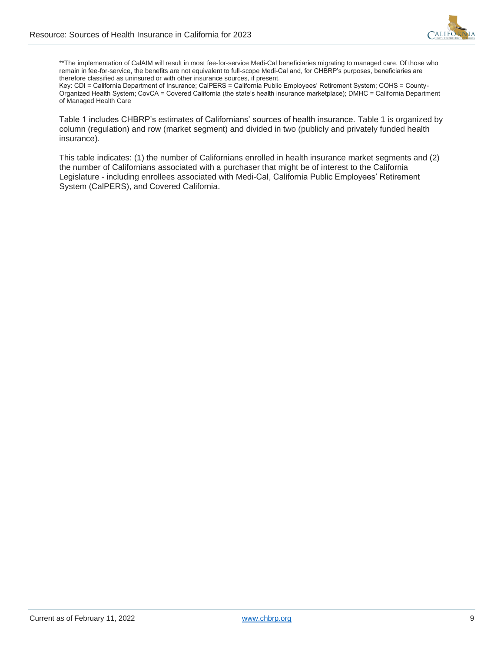

\*\*The implementation of CalAIM will result in most fee-for-service Medi-Cal beneficiaries migrating to managed care. Of those who remain in fee-for-service, the benefits are not equivalent to full-scope Medi-Cal and, for CHBRP's purposes, beneficiaries are therefore classified as uninsured or with other insurance sources, if present.

Key: CDI = California Department of Insurance; CalPERS = California Public Employees' Retirement System; COHS = County-Organized Health System; CovCA = Covered California (the state's health insurance marketplace); DMHC = California Department of Managed Health Care

Table 1 includes CHBRP's estimates of Californians' sources of health insurance. Table 1 is organized by column (regulation) and row (market segment) and divided in two (publicly and privately funded health insurance).

This table indicates: (1) the number of Californians enrolled in health insurance market segments and (2) the number of Californians associated with a purchaser that might be of interest to the California Legislature - including enrollees associated with Medi-Cal, California Public Employees' Retirement System (CalPERS), and Covered California.